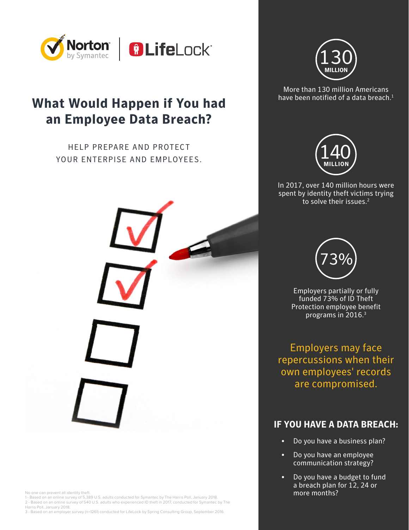

# **What Would Happen if You had an Employee Data Breach?**

HELP PREPARE AND PROTECT YOUR ENTERPISE AND EMPLOYEES.



No one can prevent all identity theft.

1 - Based on an online survey of 5,389 U.S. adults conducted for Symantec by The Harris Poll, January 2018. 2 - Based on an online survey of 540 U.S. adults who experienced ID theft in 2017, conducted for Symantec by The Harris Poll, January 2018.

3 - Based on an employer survey (n=1261) conducted for LifeLock by Spring Consulting Group, September 2016.



More than 130 million Americans have been notified of a data breach. $<sup>1</sup>$ </sup>



In 2017, over 140 million hours were spent by identity theft victims trying to solve their issues.<sup>2</sup>



Employers partially or fully funded 73% of ID Theft Protection employee benefit programs in 2016.3

Employers may face repercussions when their own employees' records are compromised.

### **IF YOU HAVE A DATA BREACH:**

- Do you have a business plan?
- Do you have an employee communication strategy?
- Do you have a budget to fund a breach plan for 12, 24 or more months?